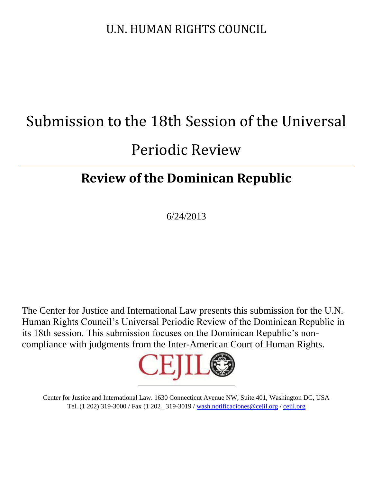U.N. HUMAN RIGHTS COUNCIL

# Submission to the 18th Session of the Universal Periodic Review

# **Review of the Dominican Republic**

6/24/2013

The Center for Justice and International Law presents this submission for the U.N. Human Rights Council's Universal Periodic Review of the Dominican Republic in its 18th session. This submission focuses on the Dominican Republic's noncompliance with judgments from the Inter-American Court of Human Rights.



Center for Justice and International Law. 1630 Connecticut Avenue NW, Suite 401, Washington DC, USA Tel. (1 202) 319-3000 / Fax (1 202\_ 319-3019 / [wash.notificaciones@cejil.org](mailto:wash.notificaciones@cejil.org) / [cejil.org](http://cejil.org/)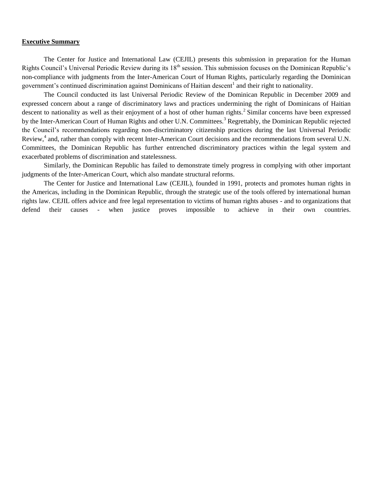#### **Executive Summary**

The Center for Justice and International Law (CEJIL) presents this submission in preparation for the Human Rights Council's Universal Periodic Review during its 18<sup>th</sup> session. This submission focuses on the Dominican Republic's non-compliance with judgments from the Inter-American Court of Human Rights, particularly regarding the Dominican government's continued discrimination against Dominicans of Haitian descent<sup>1</sup> and their right to nationality.

The Council conducted its last Universal Periodic Review of the Dominican Republic in December 2009 and expressed concern about a range of discriminatory laws and practices undermining the right of Dominicans of Haitian descent to nationality as well as their enjoyment of a host of other human rights.<sup>2</sup> Similar concerns have been expressed by the Inter-American Court of Human Rights and other U.N. Committees.<sup>3</sup> Regrettably, the Dominican Republic rejected the Council's recommendations regarding non-discriminatory citizenship practices during the last Universal Periodic Review,<sup>4</sup> and, rather than comply with recent Inter-American Court decisions and the recommendations from several U.N. Committees, the Dominican Republic has further entrenched discriminatory practices within the legal system and exacerbated problems of discrimination and statelessness.

Similarly, the Dominican Republic has failed to demonstrate timely progress in complying with other important judgments of the Inter-American Court, which also mandate structural reforms.

The Center for Justice and International Law (CEJIL), founded in 1991, protects and promotes human rights in the Americas, including in the Dominican Republic, through the strategic use of the tools offered by international human rights law. CEJIL offers advice and free legal representation to victims of human rights abuses - and to organizations that defend their causes - when justice proves impossible to achieve in their own countries.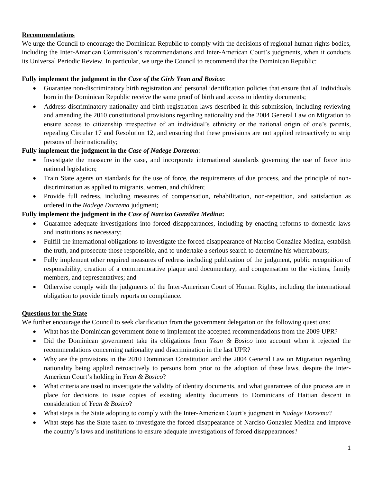# **Recommendations**

We urge the Council to encourage the Dominican Republic to comply with the decisions of regional human rights bodies, including the Inter-American Commission's recommendations and Inter-American Court's judgments, when it conducts its Universal Periodic Review. In particular, we urge the Council to recommend that the Dominican Republic:

# **Fully implement the judgment in the** *Case of the Girls Yean and Bosico***:**

- Guarantee non-discriminatory birth registration and personal identification policies that ensure that all individuals born in the Dominican Republic receive the same proof of birth and access to identity documents;
- Address discriminatory nationality and birth registration laws described in this submission, including reviewing and amending the 2010 constitutional provisions regarding nationality and the 2004 General Law on Migration to ensure access to citizenship irrespective of an individual's ethnicity or the national origin of one's parents, repealing Circular 17 and Resolution 12, and ensuring that these provisions are not applied retroactively to strip persons of their nationality;

# **Fully implement the judgment in the** *Case of Nadege Dorzema*:

- Investigate the massacre in the case, and incorporate international standards governing the use of force into national legislation;
- Train State agents on standards for the use of force, the requirements of due process, and the principle of nondiscrimination as applied to migrants, women, and children;
- Provide full redress, including measures of compensation, rehabilitation, non-repetition, and satisfaction as ordered in the *Nadege Dorzema* judgment;

# **Fully implement the judgment in the** *Case of Narciso González Medina***:**

- Guarantee adequate investigations into forced disappearances, including by enacting reforms to domestic laws and institutions as necessary;
- Fulfill the international obligations to investigate the forced disappearance of Narciso González Medina, establish the truth, and prosecute those responsible, and to undertake a serious search to determine his whereabouts;
- Fully implement other required measures of redress including publication of the judgment, public recognition of responsibility, creation of a commemorative plaque and documentary, and compensation to the victims, family members, and representatives; and
- Otherwise comply with the judgments of the Inter-American Court of Human Rights, including the international obligation to provide timely reports on compliance.

# **Questions for the State**

We further encourage the Council to seek clarification from the government delegation on the following questions:

- What has the Dominican government done to implement the accepted recommendations from the 2009 UPR?
- Did the Dominican government take its obligations from *Yean & Bosico* into account when it rejected the recommendations concerning nationality and discrimination in the last UPR?
- Why are the provisions in the 2010 Dominican Constitution and the 2004 General Law on Migration regarding nationality being applied retroactively to persons born prior to the adoption of these laws, despite the Inter-American Court's holding in *Yean & Bosico*?
- What criteria are used to investigate the validity of identity documents, and what guarantees of due process are in place for decisions to issue copies of existing identity documents to Dominicans of Haitian descent in consideration of *Yean & Bosico*?
- What steps is the State adopting to comply with the Inter-American Court's judgment in *Nadege Dorzema*?
- What steps has the State taken to investigate the forced disappearance of Narciso González Medina and improve the country's laws and institutions to ensure adequate investigations of forced disappearances?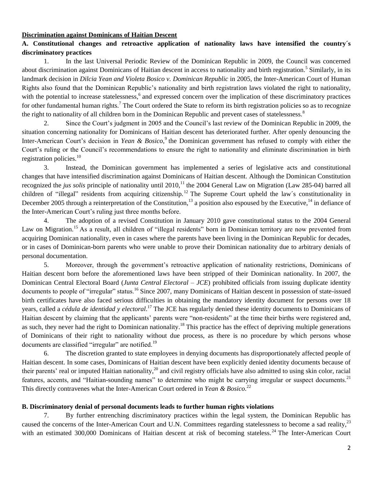### **Discrimination against Dominicans of Haitian Descent**

# **A. Constitutional changes and retroactive application of nationality laws have intensified the country´s discriminatory practices**

1. In the last Universal Periodic Review of the Dominican Republic in 2009, the Council was concerned about discrimination against Dominicans of Haitian descent in access to nationality and birth registration.<sup>5</sup> Similarly, in its landmark decision in *Dilcia Yean and Violeta Bosico v. Dominican Republic* in 2005, the Inter-American Court of Human Rights also found that the Dominican Republic's nationality and birth registration laws violated the right to nationality, with the potential to increase statelessness,<sup>6</sup> and expressed concern over the implication of these discriminatory practices for other fundamental human rights.<sup>7</sup> The Court ordered the State to reform its birth registration policies so as to recognize the right to nationality of all children born in the Dominican Republic and prevent cases of statelessness.<sup>8</sup>

2. Since the Court's judgment in 2005 and the Council's last review of the Dominican Republic in 2009, the situation concerning nationality for Dominicans of Haitian descent has deteriorated further. After openly denouncing the Inter-American Court's decision in *Yean & Bosico*,<sup>9</sup> the Dominican government has refused to comply with either the Court's ruling or the Council's recommendations to ensure the right to nationality and eliminate discrimination in birth registration policies.<sup>10</sup>

3. Instead, the Dominican government has implemented a series of legislative acts and constitutional changes that have intensified discrimination against Dominicans of Haitian descent. Although the Dominican Constitution recognized the *jus solis* principle of nationality until 2010,<sup>11</sup> the 2004 General Law on Migration (Law 285-04) barred all children of "illegal" residents from acquiring citizenship.<sup>12</sup> The Supreme Court upheld the law's constitutionality in December 2005 through a reinterpretation of the Constitution,<sup>13</sup> a position also espoused by the Executive,<sup>14</sup> in defiance of the Inter-American Court's ruling just three months before.

4. The adoption of a revised Constitution in January 2010 gave constitutional status to the 2004 General Law on Migration.<sup>15</sup> As a result, all children of "illegal residents" born in Dominican territory are now prevented from acquiring Dominican nationality, even in cases where the parents have been living in the Dominican Republic for decades, or in cases of Dominican-born parents who were unable to prove their Dominican nationality due to arbitrary denials of personal documentation.

5. Moreover, through the government's retroactive application of nationality restrictions, Dominicans of Haitian descent born before the aforementioned laws have been stripped of their Dominican nationality. In 2007, the Dominican Central Electoral Board (*Junta Central Electoral – JCE*) prohibited officials from issuing duplicate identity documents to people of "irregular" status.<sup>16</sup> Since 2007, many Dominicans of Haitian descent in possession of state-issued birth certificates have also faced serious difficulties in obtaining the mandatory identity document for persons over 18 years, called a *cédula de identidad y electoral*. <sup>17</sup> The JCE has regularly denied these identity documents to Dominicans of Haitian descent by claiming that the applicants' parents were "non-residents" at the time their births were registered and, as such, they never had the right to Dominican nationality.<sup>18</sup> This practice has the effect of depriving multiple generations of Dominicans of their right to nationality without due process, as there is no procedure by which persons whose documents are classified "irregular" are notified.<sup>19</sup>

6. The discretion granted to state employees in denying documents has disproportionately affected people of Haitian descent. In some cases, Dominicans of Haitian descent have been explicitly denied identity documents because of their parents' real or imputed Haitian nationality,<sup>20</sup> and civil registry officials have also admitted to using skin color, racial features, accents, and "Haitian-sounding names" to determine who might be carrying irregular or suspect documents.<sup>21</sup> This directly contravenes what the Inter-American Court ordered in *Yean & Bosico*. 22

# **B. Discriminatory denial of personal documents leads to further human rights violations**

7. By further entrenching discriminatory practices within the legal system, the Dominican Republic has caused the concerns of the Inter-American Court and U.N. Committees regarding statelessness to become a sad reality, $^{23}$ with an estimated 300,000 Dominicans of Haitian descent at risk of becoming stateless.<sup>24</sup> The Inter-American Court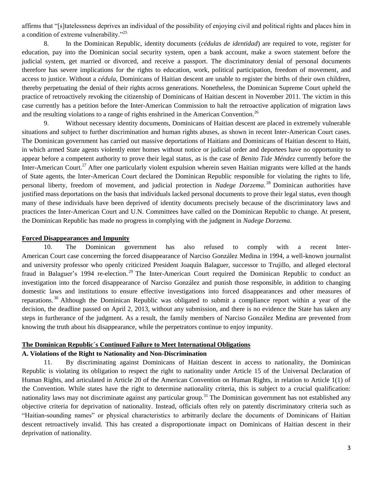affirms that "[s]tatelessness deprives an individual of the possibility of enjoying civil and political rights and places him in a condition of extreme vulnerability."<sup>25</sup>

8. In the Dominican Republic, identity documents (*cédulas de identidad*) are required to vote, register for education, pay into the Dominican social security system, open a bank account, make a sworn statement before the judicial system, get married or divorced, and receive a passport. The discriminatory denial of personal documents therefore has severe implications for the rights to education, work, political participation, freedom of movement, and access to justice. Without a *cédula*, Dominicans of Haitian descent are unable to register the births of their own children, thereby perpetuating the denial of their rights across generations. Nonetheless, the Dominican Supreme Court upheld the practice of retroactively revoking the citizenship of Dominicans of Haitian descent in November 2011. The victim in this case currently has a petition before the Inter-American Commission to halt the retroactive application of migration laws and the resulting violations to a range of rights enshrined in the American Convention.<sup>26</sup>

9. Without necessary identity documents, Dominicans of Haitian descent are placed in extremely vulnerable situations and subject to further discrimination and human rights abuses, as shown in recent Inter-American Court cases. The Dominican government has carried out massive deportations of Haitians and Dominicans of Haitian descent to Haiti, in which armed State agents violently enter homes without notice or judicial order and deportees have no opportunity to appear before a competent authority to prove their legal status, as is the case of *Benito Tide Méndez* currently before the Inter-American Court.<sup>27</sup> After one particularly violent expulsion wherein seven Haitian migrants were killed at the hands of State agents, the Inter-American Court declared the Dominican Republic responsible for violating the rights to life, personal liberty, freedom of movement, and judicial protection in *Nadege Dorzema*. <sup>28</sup> Dominican authorities have justified mass deportations on the basis that individuals lacked personal documents to prove their legal status, even though many of these individuals have been deprived of identity documents precisely because of the discriminatory laws and practices the Inter-American Court and U.N. Committees have called on the Dominican Republic to change. At present, the Dominican Republic has made no progress in complying with the judgment in *Nadege Dorzema*.

#### **Forced Disappearances and Impunity**

10. The Dominican government has also refused to comply with a recent Inter-American Court case concerning the forced disappearance of Narciso González Medina in 1994, a well-known journalist and university professor who openly criticized President Joaquín Balaguer, successor to Trujillo, and alleged electoral fraud in Balaguer's 1994 re-election.<sup>29</sup> The Inter-American Court required the Dominican Republic to conduct an investigation into the forced disappearance of Narciso González and punish those responsible, in addition to changing domestic laws and institutions to ensure effective investigations into forced disappearances and other measures of reparations. <sup>30</sup> Although the Dominican Republic was obligated to submit a compliance report within a year of the decision, the deadline passed on April 2, 2013, without any submission, and there is no evidence the State has taken any steps in furtherance of the judgment. As a result, the family members of Narciso González Medina are prevented from knowing the truth about his disappearance, while the perpetrators continue to enjoy impunity.

#### **The Dominican Republic´s Continued Failure to Meet International Obligations**

### **A. Violations of the Right to Nationality and Non-Discrimination**

11. By discriminating against Dominicans of Haitian descent in access to nationality, the Dominican Republic is violating its obligation to respect the right to nationality under Article 15 of the Universal Declaration of Human Rights, and articulated in Article 20 of the American Convention on Human Rights, in relation to Article 1(1) of the Convention. While states have the right to determine nationality criteria, this is subject to a crucial qualification: nationality laws may not discriminate against any particular group.<sup>31</sup> The Dominican government has not established any objective criteria for deprivation of nationality. Instead, officials often rely on patently discriminatory criteria such as "Haitian-sounding names" or physical characteristics to arbitrarily declare the documents of Dominicans of Haitian descent retroactively invalid. This has created a disproportionate impact on Dominicans of Haitian descent in their deprivation of nationality.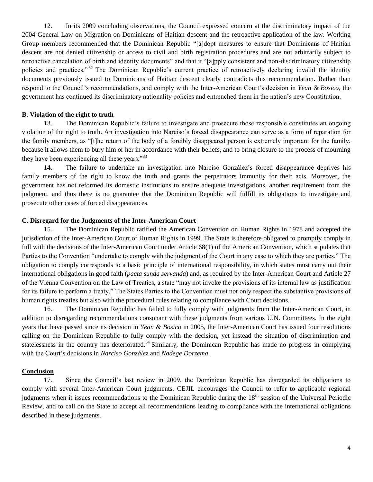12. In its 2009 concluding observations, the Council expressed concern at the discriminatory impact of the 2004 General Law on Migration on Dominicans of Haitian descent and the retroactive application of the law. Working Group members recommended that the Dominican Republic "[a]dopt measures to ensure that Dominicans of Haitian descent are not denied citizenship or access to civil and birth registration procedures and are not arbitrarily subject to retroactive cancelation of birth and identity documents" and that it "[a]pply consistent and non-discriminatory citizenship policies and practices."<sup>32</sup> The Dominican Republic's current practice of retroactively declaring invalid the identity documents previously issued to Dominicans of Haitian descent clearly contradicts this recommendation. Rather than respond to the Council's recommendations, and comply with the Inter-American Court's decision in *Yean & Bosico*, the government has continued its discriminatory nationality policies and entrenched them in the nation's new Constitution.

#### **B. Violation of the right to truth**

13. The Dominican Republic's failure to investigate and prosecute those responsible constitutes an ongoing violation of the right to truth. An investigation into Narciso's forced disappearance can serve as a form of reparation for the family members, as "[t]he return of the body of a forcibly disappeared person is extremely important for the family, because it allows them to bury him or her in accordance with their beliefs, and to bring closure to the process of mourning they have been experiencing all these years."<sup>33</sup>

14. The failure to undertake an investigation into Narciso González's forced disappearance deprives his family members of the right to know the truth and grants the perpetrators immunity for their acts. Moreover, the government has not reformed its domestic institutions to ensure adequate investigations, another requirement from the judgment, and thus there is no guarantee that the Dominican Republic will fulfill its obligations to investigate and prosecute other cases of forced disappearances.

## **C. Disregard for the Judgments of the Inter-American Court**

15. The Dominican Republic ratified the American Convention on Human Rights in 1978 and accepted the jurisdiction of the Inter-American Court of Human Rights in 1999. The State is therefore obligated to promptly comply in full with the decisions of the Inter-American Court under Article 68(1) of the American Convention, which stipulates that Parties to the Convention "undertake to comply with the judgment of the Court in any case to which they are parties." The obligation to comply corresponds to a basic principle of international responsibility, in which states must carry out their international obligations in good faith (*pacta sunda servanda*) and, as required by the Inter-American Court and Article 27 of the Vienna Convention on the Law of Treaties, a state "may not invoke the provisions of its internal law as justification for its failure to perform a treaty." The States Parties to the Convention must not only respect the substantive provisions of human rights treaties but also with the procedural rules relating to compliance with Court decisions.

16. The Dominican Republic has failed to fully comply with judgments from the Inter-American Court, in addition to disregarding recommendations consonant with these judgments from various U.N. Committees. In the eight years that have passed since its decision in *Yean & Bosico* in 2005, the Inter-American Court has issued four resolutions calling on the Dominican Republic to fully comply with the decision, yet instead the situation of discrimination and statelessness in the country has deteriorated.<sup>34</sup> Similarly, the Dominican Republic has made no progress in complying with the Court's decisions in *Narciso González* and *Nadege Dorzema*.

#### **Conclusion**

17. Since the Council's last review in 2009, the Dominican Republic has disregarded its obligations to comply with several Inter-American Court judgments. CEJIL encourages the Council to refer to applicable regional judgments when it issues recommendations to the Dominican Republic during the 18<sup>th</sup> session of the Universal Periodic Review, and to call on the State to accept all recommendations leading to compliance with the international obligations described in these judgments.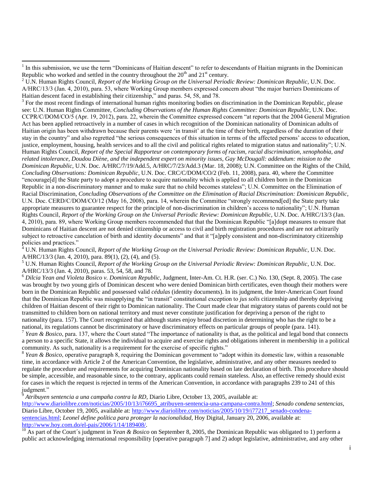$3$  For the most recent findings of international human rights monitoring bodies on discrimination in the Dominican Republic, please see: U.N. Human Rights Committee, *Concluding Observations of the Human Rights Committee: Dominican Republic*, U.N. Doc. CCPR/C/DOM/CO/5 (Apr. 19, 2012), para. 22, wherein the Committee expressed concern "at reports that the 2004 General Migration Act has been applied retroactively in a number of cases in which recognition of the Dominican nationality of Dominican adults of Haitian origin has been withdrawn because their parents were 'in transit' at the time of their birth, regardless of the duration of their stay in the country" and also regretted "the serious consequences of this situation in terms of the affected persons' access to education, justice, employment, housing, health services and to all the civil and political rights related to migration status and nationality"; U.N. Human Rights Council, *Report of the Special Rapporteur on contemporary forms of racism, racial discrimination, xenophobia, and related intolerance, Doudou Diène, and the independent expert on minority issues, Gay McDougall: addendum: mission to the Dominican Republic*, U.N. Doc. A/HRC/7/19/Add.5, A/HRC/7/23/Add.3 (Mar. 18, 2008); U.N. Committee on the Rights of the Child, *Concluding Observations: Dominican Republic*, U.N. Doc. CRC/C/DOM/CO/2 (Feb. 11, 2008), para. 40, where the Committee "encourage[d] the State party to adopt a procedure to acquire nationality which is applied to all children born in the Dominican Republic in a non-discriminatory manner and to make sure that no child becomes stateless"; U.N. Committee on the Elimination of Racial Discrimination, *Concluding Observations of the Committee on the Elimination of Racial Discrimination: Dominican Republic*, U.N. Doc. CERD/C/DOM/CO/12 (May 16, 2008), para. 14, wherein the Committee "strongly recommend[ed] the State party take appropriate measures to guarantee respect for the principle of non-discrimination in children's access to nationality"; U.N. Human Rights Council, *Report of the Working Group on the Universal Periodic Review: Dominican Republic*, U.N. Doc. A/HRC/13/3 (Jan. 4, 2010), para. 89, where Working Group members recommended that that the Dominican Republic "[a]dopt measures to ensure that Dominicans of Haitian descent are not denied citizenship or access to civil and birth registration procedures and are not arbitrarily subject to retroactive cancelation of birth and identity documents" and that it "[a]pply consistent and non-discriminatory citizenship policies and practices."

<sup>4</sup> U.N. Human Rights Council, *Report of the Working Group on the Universal Periodic Review: Dominican Republic*, U.N. Doc. A/HRC/13/3 (Jan. 4, 2010), para. 89(1), (2), (4), and (5).

<sup>5</sup> U.N. Human Rights Council, *Report of the Working Group on the Universal Periodic Review: Dominican Republic*, U.N. Doc. A/HRC/13/3 (Jan. 4, 2010), paras. 53, 54, 58, and 78.

<sup>6</sup> *Dilcia Yean and Violeta Bosico v. Dominican Republic*, Judgment, Inter-Am. Ct. H.R. (ser. C.) No. 130, (Sept. 8, 2005). The case was brought by two young girls of Dominican descent who were denied Dominican birth certificates, even though their mothers were born in the Dominican Republic and possessed valid *cédulas* (identity documents). In its judgment, the Inter-American Court found that the Dominican Republic was misapplying the "in transit" constitutional exception to *jus solis* citizenship and thereby depriving children of Haitian descent of their right to Dominican nationality. The Court made clear that migratory status of parents could not be transmitted to children born on national territory and must never constitute justification for depriving a person of the right to nationality (para. 157). The Court recognized that although states enjoy broad discretion in determining who has the right to be a national, its regulations cannot be discriminatory or have discriminatory effects on particular groups of people (para. 141).

<sup>7</sup> *Yean & Bosico*, para. 137, where the Court stated "The importance of nationality is that, as the political and legal bond that connects a person to a specific State, it allows the individual to acquire and exercise rights and obligations inherent in membership in a political community. As such, nationality is a requirement for the exercise of specific rights."

<sup>8</sup> Yean & Bosico, operative paragraph 8, requiring the Dominican government to "adopt within its domestic law, within a reasonable time, in accordance with Article 2 of the American Convention, the legislative, administrative, and any other measures needed to regulate the procedure and requirements for acquiring Dominican nationality based on late declaration of birth. This procedure should be simple, accessible, and reasonable since, to the contrary, applicants could remain stateless. Also, an effective remedy should exist for cases in which the request is rejected in terms of the American Convention, in accordance with paragraphs 239 to 241 of this judgment."

<sup>9</sup> *Atribuyen sentencia a una campaña contra la RD*, Diario Libre, October 13, 2005, available at:

[http://www.diariolibre.com/noticias/2005/10/13/i76695\\_atribuyen-sentencia-una-campana-contra.html;](http://www.diariolibre.com/noticias/2005/10/13/i76695_atribuyen-sentencia-una-campana-contra.html) *Senado condena* s*entencias*, Diario Libre, October 19, 2005, available at[: http://www.diariolibre.com/noticias/2005/10/19/i77217\\_senado-condena](http://www.diariolibre.com/noticias/2005/10/19/i77217_senado-condena-sentencias.html)[sentencias.html;](http://www.diariolibre.com/noticias/2005/10/19/i77217_senado-condena-sentencias.html) *Leonel define política para proteger la nacionalidad*, Hoy Digital, January 20, 2006, available at: [http://www.hoy.com.do/el-pais/2006/1/14/189408/.](http://www.hoy.com.do/el-pais/2006/1/14/189408/)

<sup>10</sup> As part of the Court´s judgment in *Yean & Bosico* on September 8, 2005, the Dominican Republic was obligated to 1) perform a public act acknowledging international responsibility [operative paragraph 7] and 2) adopt legislative, administrative, and any other

<sup>&</sup>lt;sup>1</sup> In this submission, we use the term "Dominicans of Haitian descent" to refer to descendants of Haitian migrants in the Dominican Republic who worked and settled in the country throughout the  $20<sup>th</sup>$  and  $21<sup>st</sup>$  century.

<sup>2</sup> U.N. Human Rights Council, *Report of the Working Group on the Universal Periodic Review: Dominican Republic*, U.N. Doc. A/HRC/13/3 (Jan. 4, 2010), para. 53, where Working Group members expressed concern about "the major barriers Dominicans of Haitian descent faced in establishing their citizenship," and paras. 54, 58, and 78.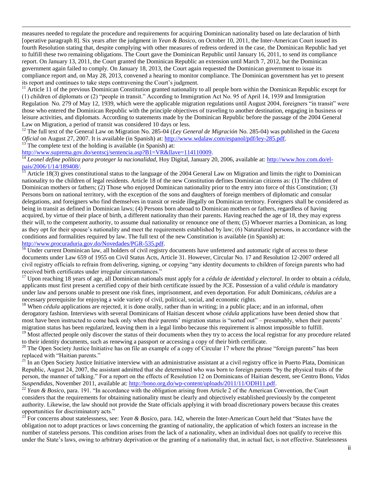measures needed to regulate the procedure and requirements for acquiring Dominican nationality based on late declaration of birth [operative paragraph 8]. Six years after the judgment in *Yean & Bosico*, on October 10, 2011, the Inter-American Court issued its fourth Resolution stating that, despite complying with other measures of redress ordered in the case, the Dominican Republic had yet to fulfill these two remaining obligations. The Court gave the Dominican Republic until January 16, 2011, to send its compliance report. On January 13, 2011, the Court granted the Dominican Republic an extension until March 7, 2012, but the Dominican government again failed to comply. On January 18, 2013, the Court again requested the Dominican government to issue its compliance report and, on May 28, 2013, convened a hearing to monitor compliance. The Dominican government has yet to present its report and continues to take steps contravening the Court's judgment.

<sup>11</sup> Article 11 of the previous Dominican Constitution granted nationality to all people born within the Dominican Republic except for (1) children of diplomats or (2) "people in transit." According to Immigration Act No. 95 of April 14, 1939 and Immigration Regulation No. 279 of May 12, 1939, which were the applicable migration regulations until August 2004, foreigners "in transit" were those who entered the Dominican Republic with the principle objectives of traveling to another destination, engaging in business or leisure activities, and diplomats. According to statements made by the Dominican Republic before the passage of the 2004 General Law on Migration, a period of transit was considered 10 days or less.

<sup>12</sup> The full text of the General Law on Migration No. 285-04 (*Ley General de Migración* No. 285-04) was published in the *Gaceta Oficial* on August 27, 2007. It is available (in Spanish) at: [http://www.wdalaw.com/espanol/pdf/ley-285.pdf.](http://www.wdalaw.com/espanol/pdf/ley-285.pdf)<br><sup>13</sup> The complete text of the highly attended in the complete of the highly attended in the complete text of the

The complete text of the holding is available (in Spanish) at:

 $\overline{\phantom{a}}$ 

[http://www.suprema.gov.do/sentscj/sentencia.asp?B1=VR&llave=114110009.](http://www.suprema.gov.do/sentscj/sentencia.asp?B1=VR&llave=114110009)

<sup>14</sup> *Leonel define política para proteger la nacionalidad*, Hoy Digital, January 20, 2006, available at: [http://www.hoy.com.do/el](http://www.hoy.com.do/el-pais/2006/1/14/189408/)[pais/2006/1/14/189408/.](http://www.hoy.com.do/el-pais/2006/1/14/189408/)

Article 18(3) gives constitutional status to the language of the 2004 General Law on Migration and limits the right to Dominican nationality to the children of legal residents. Article 18 of the new Constitution defines Dominican citizens as: (1) The children of Dominican mothers or fathers; (2) Those who enjoyed Dominican nationality prior to the entry into force of this Constitution; (3) Persons born on national territory, with the exception of the sons and daughters of foreign members of diplomatic and consular delegations, and foreigners who find themselves in transit or reside illegally on Dominican territory. Foreigners shall be considered as being in transit as defined in Dominican laws; (4) Persons born abroad to Dominican mothers or fathers, regardless of having acquired, by virtue of their place of birth, a different nationality than their parents. Having reached the age of 18, they may express their will, to the competent authority, to assume dual nationality or renounce one of them; (5) Whoever marries a Dominican, as long as they opt for their spouse's nationality and meet the requirements established by law; (6) Naturalized persons, in accordance with the conditions and formalities required by law. The full text of the new Constitution is available (in Spanish) at: [http://www.procuraduria.gov.do/Novedades/PGR-535.pdf.](http://www.procuraduria.gov.do/Novedades/PGR-535.pdf)

 $\frac{16}{16}$  Under current Dominican law, all holders of civil registry documents have unfettered and automatic right of access to these documents under Law 659 of 1955 on Civil Status Acts, Article 31. However, Circular No. 17 and Resolution 12-2007 ordered all civil registry officials to refrain from delivering, signing, or copying "any identity documents to children of foreign parents who had received birth certificates under irregular circumstances."

<sup>17</sup> Upon reaching 18 years of age, all Dominican nationals must apply for a *cédula de identidad y electoral*. In order to obtain a *cédula*, applicants must first present a certified copy of their birth certificate issued by the JCE. Possession of a valid *cédula* is mandatory under law and persons unable to present one risk fines, imprisonment, and even deportation. For adult Dominicans, *cédulas* are a necessary prerequisite for enjoying a wide variety of civil, political, social, and economic rights.

<sup>18</sup> When *cédula* applications are rejected, it is done orally, rather than in writing; in a public place; and in an informal, often derogatory fashion. Interviews with several Dominicans of Haitian descent whose *cédula* applications have been denied show that most have been instructed to come back only when their parents' migration status is "sorted out" – presumably, when their parents' migration status has been regularized, leaving them in a legal limbo because this requirement is almost impossible to fulfill.

<sup>19</sup> Most affected people only discover the status of their documents when they try to access the local registrar for any procedure related to their identity documents, such as renewing a passport or accessing a copy of their birth certificate.

 $20$  The Open Society Justice Initiative has on file an example of a copy of Circular 17 where the phrase "foreign parents" has been replaced with "Haitian parents."

 $21$  In an Open Society Justice Initiative interview with an administrative assistant at a civil registry office in Puerto Plata, Dominican Republic, August 24, 2007, the assistant admitted that she determined who was born to foreign parents "by the physical traits of the person, the manner of talking." For a report on the effects of Resolution 12 on Dominicans of Haitian descent, see Centro Bono, *Vidas Suspendidas*, November 2011, available at: [http://bono.org.do/wp-content/uploads/2011/11/ODH11.pdf.](http://bono.org.do/wp-content/uploads/2011/11/ODH11.pdf)

<sup>22</sup> *Yean & Bosico*, para. 191. "In accordance with the obligation arising from Article 2 of the American Convention, the Court considers that the requirements for obtaining nationality must be clearly and objectively established previously by the competent authority. Likewise, the law should not provide the State officials applying it with broad discretionary powers because this creates opportunities for discriminatory acts."

<sup>23</sup> For concerns about statelessness, see: *Yean & Bosico*, para. 142, wherein the Inter-American Court held that "States have the obligation not to adopt practices or laws concerning the granting of nationality, the application of which fosters an increase in the number of stateless persons. This condition arises from the lack of a nationality, when an individual does not qualify to receive this under the State's laws, owing to arbitrary deprivation or the granting of a nationality that, in actual fact, is not effective. Statelessness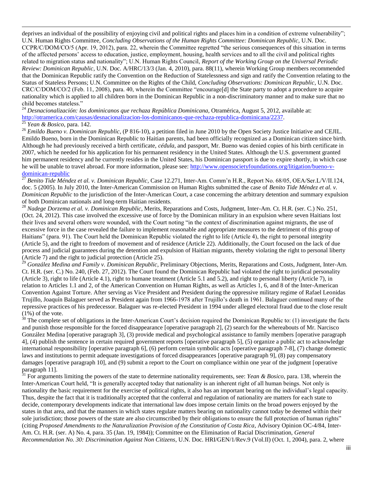deprives an individual of the possibility of enjoying civil and political rights and places him in a condition of extreme vulnerability"; U.N. Human Rights Committee, *Concluding Observations of the Human Rights Committee: Dominican Republic,* U.N. Doc. CCPR/C/DOM/CO/5 (Apr. 19, 2012), para. 22, wherein the Committee regretted "the serious consequences of this situation in terms of the affected persons' access to education, justice, employment, housing, health services and to all the civil and political rights related to migration status and nationality"; U.N. Human Rights Council, *Report of the Working Group on the Universal Periodic Review: Dominican Republic*, U.N. Doc. A/HRC/13/3 (Jan. 4, 2010), para. 88(11), wherein Working Group members recommended that the Dominican Republic ratify the Convention on the Reduction of Statelessness and sign and ratify the Convention relating to the Status of Stateless Persons; U.N. Committee on the Rights of the Child, *Concluding Observations: Dominican Republic*, U.N. Doc. CRC/C/DOM/CO/2 (Feb. 11, 2008), para. 40, wherein the Committee "encourage[d] the State party to adopt a procedure to acquire nationality which is applied to all children born in the Dominican Republic in a non-discriminatory manner and to make sure that no child becomes stateless."

<sup>24</sup> *Desnacionalización: los dominicanos que rechaza República Dominicana*, Otramérica, August 5, 2012, available at: [http://otramerica.com/causas/desnacionalizacion-los-dominicanos-que-rechaza-republica-dominicana/2237.](http://otramerica.com/causas/desnacionalizacion-los-dominicanos-que-rechaza-republica-dominicana/2237)

#### <sup>25</sup> *Yean & Bosico*, para. 142.

 $\overline{\phantom{a}}$ 

<sup>26</sup> *Emildo Bueno v. Dominican Republic*, (P 816-10), a petition filed in June 2010 by the Open Society Justice Initiative and CEJIL. Emildo Bueno, born in the Dominican Republic to Haitian parents, had been officially recognized as a Dominican citizen since birth. Although he had previously received a birth certificate, *cédula*, and passport, Mr. Bueno was denied copies of his birth certificate in 2007, which he needed for his application for his permanent residency in the United States. Although the U.S. government granted him permanent residency and he currently resides in the United States, his Dominican passport is due to expire shortly, in which case he will be unable to travel abroad. For more information, please see: [http://www.opensocietyfoundations.org/litigation/bueno-v](http://www.opensocietyfoundations.org/litigation/bueno-v-dominican-republic)[dominican-republic](http://www.opensocietyfoundations.org/litigation/bueno-v-dominican-republic)

<sup>27</sup> *Benito Tide Méndez et al. v. Dominican Republic*, Case 12.271, Inter-Am. Comm'n H.R., Report No. 68/05, OEA/Ser.L/V/II.124, doc. 5 (2005). In July 2010, the Inter-American Commission on Human Rights submitted the case of *Benito Tide Méndez et al. v. Dominican Republic* to the jurisdiction of the Inter-American Court, a case concerning the arbitrary detention and summary expulsion of both Dominican nationals and long-term Haitian residents.

<sup>28</sup> *Nadege Dorzema et al. v. Dominican Republic*, Merits, Reparations and Costs, Judgment, Inter-Am. Ct. H.R. (ser. C.) No. 251, (Oct. 24, 2012). This case involved the excessive use of force by the Dominican military in an expulsion where seven Haitians lost their lives and several others were wounded, with the Court noting "in the context of discrimination against migrants, the use of excessive force in the case revealed the failure to implement reasonable and appropriate measures to the detriment of this group of Haitians" (para. 91). The Court held the Dominican Republic violated the right to life (Article 4), the right to personal integrity (Article 5), and the right to freedom of movement and of residence (Article 22). Additionally, the Court focused on the lack of due process and judicial guarantees during the detention and expulsion of Haitian migrants, thereby violating the right to personal liberty (Article 7) and the right to judicial protection (Article 25).

<sup>29</sup> *González Medina and Family v. Dominican Republic*, Preliminary Objections, Merits, Reparations and Costs, Judgment, Inter-Am. Ct. H.R. (ser. C.) No. 240, (Feb. 27, 2012). The Court found the Dominican Republic had violated the right to juridical personality (Article 3), right to life (Article 4.1), right to humane treatment (Article 5.1 and 5.2), and right to personal liberty (Article 7), in relation to Articles 1.1 and 2, of the American Convention on Human Rights, as well as Articles 1, 6, and 8 of the Inter-American Convention Against Torture. After serving as Vice President and President during the oppressive military regime of Rafael Leonidas Trujillo, Joaquín Balaguer served as President again from 1966-1978 after Trujillo's death in 1961. Balaguer continued many of the repressive practices of his predecessor. Balaguer was re-elected President in 1994 under alleged electoral fraud due to the close result (1%) of the vote.

 $30$  The complete set of obligations in the Inter-American Court's decision required the Dominican Republic to: (1) investigate the facts and punish those responsible for the forced disappearance [operative paragraph 2], (2) search for the whereabouts of Mr. Narcisco González Medina [operative paragraph 3], (3) provide medical and psychological assistance to family members [operative paragraph 4], (4) publish the sentence in certain required government reports [operative paragraph 5], (5) organize a public act to acknowledge international responsibility [operative paragraph 6], (6) perform certain symbolic acts [operative paragraph 7-8], (7) change domestic laws and institutions to permit adequate investigations of forced disappearances [operative paragraph 9], (8) pay compensatory damages [operative paragraph 10], and (9) submit a report to the Court on compliance within one year of the judgment [operative paragraph 11].

<sup>31</sup> For arguments limiting the powers of the state to determine nationality requirements, see: *Yean & Bosico*, para. 138, wherein the Inter-American Court held, "It is generally accepted today that nationality is an inherent right of all human beings. Not only is nationality the basic requirement for the exercise of political rights, it also has an important bearing on the individual's legal capacity. Thus, despite the fact that it is traditionally accepted that the conferral and regulation of nationality are matters for each state to decide, contemporary developments indicate that international law does impose certain limits on the broad powers enjoyed by the states in that area, and that the manners in which states regulate matters bearing on nationality cannot today be deemed within their sole jurisdiction; those powers of the state are also circumscribed by their obligations to ensure the full protection of human rights" (citing *Proposed Amendments to the Naturalization Provision of the Constitution of Costa Rica*, Advisory Opinion OC-4/84, Inter-Am. Ct. H.R. (ser. A) No. 4, para. 35 (Jan. 19, 1984)); Committee on the Elimination of Racial Discrimination, *General Recommendation No. 30: Discrimination Against Non Citizens*, U.N. Doc. HRI/GEN/1/Rev.9 (Vol.II) (Oct. 1, 2004), para. 2, where